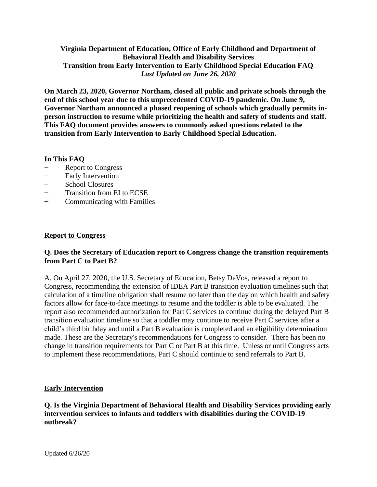# **Virginia Department of Education, Office of Early Childhood and Department of Behavioral Health and Disability Services Transition from Early Intervention to Early Childhood Special Education FAQ** *Last Updated on June 26, 2020*

**On March 23, 2020, Governor Northam, closed all public and private schools through the end of this school year due to this unprecedented COVID-19 pandemic. On June 9, Governor Northam announced a phased reopening of schools which gradually permits inperson instruction to resume while prioritizing the health and safety of students and staff. This FAQ document provides answers to commonly asked questions related to the transition from Early Intervention to Early Childhood Special Education.** 

# **In This FAQ**

- − Report to Congress
- Early Intervention
- − School Closures
- − Transition from EI to ECSE
- − Communicating with Families

# **Report to Congress**

#### **Q. Does the Secretary of Education report to Congress change the transition requirements from Part C to Part B?**

A. On April 27, 2020, the U.S. Secretary of Education, Betsy DeVos, released a report to Congress, recommending the extension of IDEA Part B transition evaluation timelines such that calculation of a timeline obligation shall resume no later than the day on which health and safety factors allow for face-to-face meetings to resume and the toddler is able to be evaluated. The report also recommended authorization for Part C services to continue during the delayed Part B transition evaluation timeline so that a toddler may continue to receive Part C services after a child's third birthday and until a Part B evaluation is completed and an eligibility determination made. These are the Secretary's recommendations for Congress to consider. There has been no change in transition requirements for Part C or Part B at this time. Unless or until Congress acts to implement these recommendations, Part C should continue to send referrals to Part B.

# **Early Intervention**

# **Q. Is the Virginia Department of Behavioral Health and Disability Services providing early intervention services to infants and toddlers with disabilities during the COVID-19 outbreak?**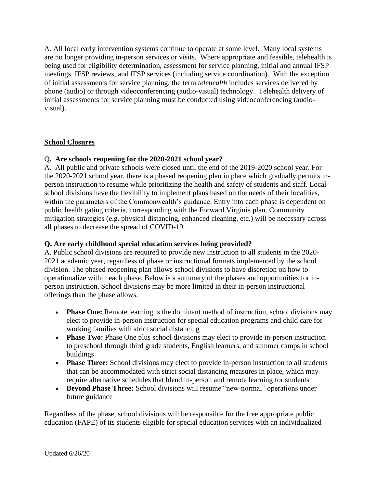A. All local early intervention systems continue to operate at some level. Many local systems are no longer providing in-person services or visits. Where appropriate and feasible, telehealth is being used for eligibility determination, assessment for service planning, initial and annual IFSP meetings, IFSP reviews, and IFSP services (including service coordination). With the exception of initial assessments for service planning, the term *telehealth* includes services delivered by phone (audio) or through videoconferencing (audio-visual) technology. Telehealth delivery of initial assessments for service planning must be conducted using videoconferencing (audiovisual).

#### **School Closures**

#### Q**. Are schools reopening for the 2020-2021 school year?**

A. All public and private schools were closed until the end of the 2019-2020 school year. For the 2020-2021 school year, there is a phased reopening plan in place which gradually permits inperson instruction to resume while prioritizing the health and safety of students and staff. Local school divisions have the flexibility to implement plans based on the needs of their localities, within the parameters of the Commonwealth's guidance. Entry into each phase is dependent on public health gating criteria, corresponding with the Forward Virginia plan. Community mitigation strategies (e.g. physical distancing, enhanced cleaning, etc.) will be necessary across all phases to decrease the spread of COVID-19.

#### **Q. Are early childhood special education services being provided?**

A. Public school divisions are required to provide new instruction to all students in the 2020- 2021 academic year, regardless of phase or instructional formats implemented by the school division. The phased reopening plan allows school divisions to have discretion on how to operationalize within each phase. Below is a summary of the phases and opportunities for inperson instruction. School divisions may be more limited in their in-person instructional offerings than the phase allows.

- **Phase One:** Remote learning is the dominant method of instruction, school divisions may elect to provide in-person instruction for special education programs and child care for working families with strict social distancing
- **Phase Two:** Phase One plus school divisions may elect to provide in-person instruction to preschool through third grade students, English learners, and summer camps in school buildings
- **Phase Three:** School divisions may elect to provide in-person instruction to all students that can be accommodated with strict social distancing measures in place, which may require alternative schedules that blend in-person and remote learning for students
- **Beyond Phase Three:** School divisions will resume "new-normal" operations under future guidance

Regardless of the phase, school divisions will be responsible for the free appropriate public education (FAPE) of its students eligible for special education services with an individualized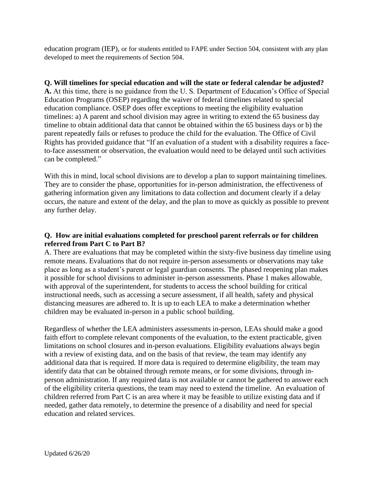education program (IEP), or for students entitled to FAPE under Section 504, consistent with any plan developed to meet the requirements of Section 504.

#### **Q. Will timelines for special education and will the state or federal calendar be adjusted?**

**A.** At this time, there is no guidance from the U. S. Department of Education's Office of Special Education Programs (OSEP) regarding the waiver of federal timelines related to special education compliance. OSEP does offer exceptions to meeting the eligibility evaluation timelines: a) A parent and school division may agree in writing to extend the 65 business day timeline to obtain additional data that cannot be obtained within the 65 business days or b) the parent repeatedly fails or refuses to produce the child for the evaluation. The Office of Civil Rights has provided guidance that "If an evaluation of a student with a disability requires a faceto-face assessment or observation, the evaluation would need to be delayed until such activities can be completed."

With this in mind, local school divisions are to develop a plan to support maintaining timelines. They are to consider the phase, opportunities for in-person administration, the effectiveness of gathering information given any limitations to data collection and document clearly if a delay occurs, the nature and extent of the delay, and the plan to move as quickly as possible to prevent any further delay.

# **Q. How are initial evaluations completed for preschool parent referrals or for children referred from Part C to Part B?**

A. There are evaluations that may be completed within the sixty-five business day timeline using remote means. Evaluations that do not require in-person assessments or observations may take place as long as a student's parent or legal guardian consents. The phased reopening plan makes it possible for school divisions to administer in-person assessments. Phase 1 makes allowable, with approval of the superintendent, for students to access the school building for critical instructional needs, such as accessing a secure assessment, if all health, safety and physical distancing measures are adhered to. It is up to each LEA to make a determination whether children may be evaluated in-person in a public school building.

Regardless of whether the LEA administers assessments in-person, LEAs should make a good faith effort to complete relevant components of the evaluation, to the extent practicable, given limitations on school closures and in-person evaluations. Eligibility evaluations always begin with a review of existing data, and on the basis of that review, the team may identify any additional data that is required. If more data is required to determine eligibility, the team may identify data that can be obtained through remote means, or for some divisions, through inperson administration. If any required data is not available or cannot be gathered to answer each of the eligibility criteria questions, the team may need to extend the timeline. An evaluation of children referred from Part C is an area where it may be feasible to utilize existing data and if needed, gather data remotely, to determine the presence of a disability and need for special education and related services.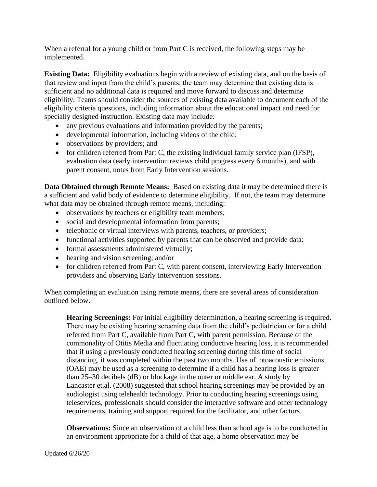When a referral for a young child or from Part C is received, the following steps may be implemented.

**Existing Data:** Eligibility evaluations begin with a review of existing data, and on the basis of that review and input from the child's parents, the team may determine that existing data is sufficient and no additional data is required and move forward to discuss and determine eligibility. Teams should consider the sources of existing data available to document each of the eligibility criteria questions, including information about the educational impact and need for specially designed instruction. Existing data may include:

- any previous evaluations and information provided by the parents;
- developmental information, including videos of the child;
- observations by providers; and
- for children referred from Part C, the existing individual family service plan (IFSP), evaluation data (early intervention reviews child progress every 6 months), and with parent consent, notes from Early Intervention sessions.

**Data Obtained through Remote Means:** Based on existing data it may be determined there is a sufficient and valid body of evidence to determine eligibility. If not, the team may determine what data may be obtained through remote means, including:

- observations by teachers or eligibility team members;
- social and developmental information from parents;
- telephonic or virtual interviews with parents, teachers, or providers;
- functional activities supported by parents that can be observed and provide data:
- formal assessments administered virtually;
- hearing and vision screening; and/or
- for children referred from Part C, with parent consent, interviewing Early Intervention providers and observing Early Intervention sessions.

When completing an evaluation using remote means, there are several areas of consideration outlined below.

**Hearing Screenings:** For initial eligibility determination, a hearing screening is required. There may be existing hearing screening data from the child's pediatrician or for a child referred from Part C, available from Part C, with parent permission. Because of the commonality of Otitis Media and fluctuating conductive hearing loss, it is recommended that if using a previously conducted hearing screening during this time of social distancing, it was completed within the past two months. Use of otoacoustic emissions (OAE) may be used as a screening to determine if a child has a hearing loss is greater than 25–30 decibels (dB) or blockage in the outer or middle ear. A study by Lancaster [et.al.](http://et.al/) (2008) suggested that school hearing screenings may be provided by an audiologist using telehealth technology. Prior to conducting hearing screenings using teleservices, professionals should consider the interactive software and other technology requirements, training and support required for the facilitator, and other factors.

**Observations:** Since an observation of a child less than school age is to be conducted in an environment appropriate for a child of that age, a home observation may be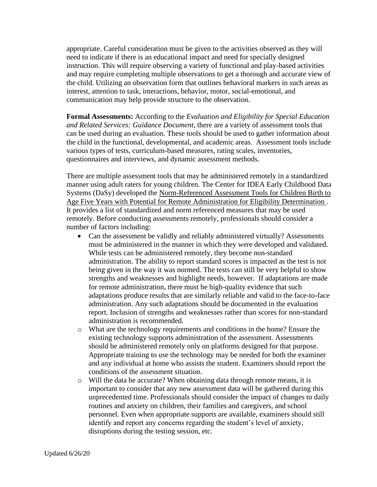appropriate. Careful consideration must be given to the activities observed as they will need to indicate if there is an educational impact and need for specially designed instruction. This will require observing a variety of functional and play-based activities and may require completing multiple observations to get a thorough and accurate view of the child. Utilizing an observation form that outlines behavioral markers in such areas as interest, attention to task, interactions, behavior, motor, social-emotional, and communication may help provide structure to the observation.

**Formal Assessments:** According to the *Evaluation and Eligibility for Special Education and Related Services: Guidance Document*, there are a variety of assessment tools that can be used during an evaluation. These tools should be used to gather information about the child in the functional, developmental, and academic areas. Assessment tools include various types of tests, curriculum-based measures, rating scales, inventories, questionnaires and interviews, and dynamic assessment methods.

There are multiple assessment tools that may be administered remotely in a standardized manner using adult raters for young children. The Center for IDEA Early Childhood Data Systems (DaSy) developed the [Norm-Referenced Assessment Tools for Children Birth to](https://ectacenter.org/~pdfs/events/Assessment_Tool_Table.pdf)  [Age Five Years with Potential for Remote Administration for Eligibility Determination .](https://ectacenter.org/~pdfs/events/Assessment_Tool_Table.pdf) It provides a list of standardized and norm referenced measures that may be used remotely. Before conducting assessments remotely, professionals should consider a number of factors including:

- Can the assessment be validly and reliably administered virtually? Assessments must be administered in the manner in which they were developed and validated. While tests can be administered remotely, they become non-standard administration. The ability to report standard scores is impacted as the test is not being given in the way it was normed. The tests can still be very helpful to show strengths and weaknesses and highlight needs, however. If adaptations are made for remote administration, there must be high-quality evidence that such adaptations produce results that are similarly reliable and valid to the face-to-face administration. Any such adaptations should be documented in the evaluation report. Inclusion of strengths and weaknesses rather than scores for non-standard administration is recommended.
- o What are the technology requirements and conditions in the home? Ensure the existing technology supports administration of the assessment. Assessments should be administered remotely only on platforms designed for that purpose. Appropriate training to use the technology may be needed for both the examiner and any individual at home who assists the student. Examiners should report the conditions of the assessment situation.
- $\circ$  Will the data be accurate? When obtaining data through remote means, it is important to consider that any new assessment data will be gathered during this unprecedented time. Professionals should consider the impact of changes to daily routines and anxiety on children, their families and caregivers, and school personnel. Even when appropriate supports are available, examiners should still identify and report any concerns regarding the student's level of anxiety, disruptions during the testing session, etc.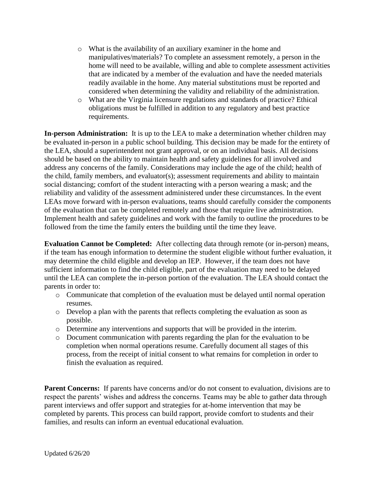- o What is the availability of an auxiliary examiner in the home and manipulatives/materials? To complete an assessment remotely, a person in the home will need to be available, willing and able to complete assessment activities that are indicated by a member of the evaluation and have the needed materials readily available in the home. Any material substitutions must be reported and considered when determining the validity and reliability of the administration.
- o What are the Virginia licensure regulations and standards of practice? Ethical obligations must be fulfilled in addition to any regulatory and best practice requirements.

**In-person Administration:** It is up to the LEA to make a determination whether children may be evaluated in-person in a public school building. This decision may be made for the entirety of the LEA, should a superintendent not grant approval, or on an individual basis. All decisions should be based on the ability to maintain health and safety guidelines for all involved and address any concerns of the family. Considerations may include the age of the child; health of the child, family members, and evaluator(s); assessment requirements and ability to maintain social distancing; comfort of the student interacting with a person wearing a mask; and the reliability and validity of the assessment administered under these circumstances. In the event LEAs move forward with in-person evaluations, teams should carefully consider the components of the evaluation that can be completed remotely and those that require live administration. Implement health and safety guidelines and work with the family to outline the procedures to be followed from the time the family enters the building until the time they leave.

**Evaluation Cannot be Completed:** After collecting data through remote (or in-person) means, if the team has enough information to determine the student eligible without further evaluation, it may determine the child eligible and develop an IEP. However, if the team does not have sufficient information to find the child eligible, part of the evaluation may need to be delayed until the LEA can complete the in-person portion of the evaluation. The LEA should contact the parents in order to:

- o Communicate that completion of the evaluation must be delayed until normal operation resumes.
- o Develop a plan with the parents that reflects completing the evaluation as soon as possible.
- o Determine any interventions and supports that will be provided in the interim.
- o Document communication with parents regarding the plan for the evaluation to be completion when normal operations resume. Carefully document all stages of this process, from the receipt of initial consent to what remains for completion in order to finish the evaluation as required.

**Parent Concerns:** If parents have concerns and/or do not consent to evaluation, divisions are to respect the parents' wishes and address the concerns. Teams may be able to gather data through parent interviews and offer support and strategies for at-home intervention that may be completed by parents. This process can build rapport, provide comfort to students and their families, and results can inform an eventual educational evaluation.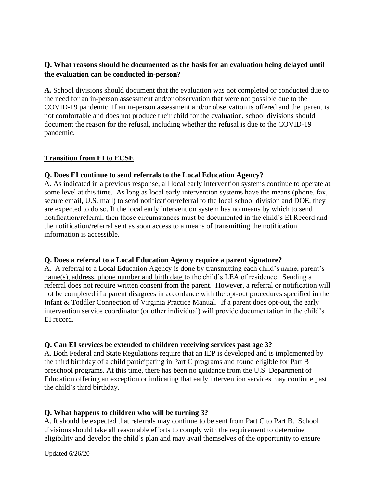# **Q. What reasons should be documented as the basis for an evaluation being delayed until the evaluation can be conducted in-person?**

**A.** School divisions should document that the evaluation was not completed or conducted due to the need for an in-person assessment and/or observation that were not possible due to the COVID-19 pandemic. If an in-person assessment and/or observation is offered and the parent is not comfortable and does not produce their child for the evaluation, school divisions should document the reason for the refusal, including whether the refusal is due to the COVID-19 pandemic.

# **Transition from EI to ECSE**

#### **Q. Does EI continue to send referrals to the Local Education Agency?**

A. As indicated in a previous response, all local early intervention systems continue to operate at some level at this time. As long as local early intervention systems have the means (phone, fax, secure email, U.S. mail) to send notification/referral to the local school division and DOE, they are expected to do so. If the local early intervention system has no means by which to send notification/referral, then those circumstances must be documented in the child's EI Record and the notification/referral sent as soon access to a means of transmitting the notification information is accessible.

#### **Q. Does a referral to a Local Education Agency require a parent signature?**

A. A referral to a Local Education Agency is done by transmitting each child's name, parent's name(s), address, phone number and birth date to the child's LEA of residence. Sending a referral does not require written consent from the parent. However, a referral or notification will not be completed if a parent disagrees in accordance with the opt-out procedures specified in the Infant & Toddler Connection of Virginia Practice Manual. If a parent does opt-out, the early intervention service coordinator (or other individual) will provide documentation in the child's EI record.

#### **Q. Can EI services be extended to children receiving services past age 3?**

A. Both Federal and State Regulations require that an IEP is developed and is implemented by the third birthday of a child participating in Part C programs and found eligible for Part B preschool programs. At this time, there has been no guidance from the U.S. Department of Education offering an exception or indicating that early intervention services may continue past the child's third birthday.

# **Q. What happens to children who will be turning 3?**

A. It should be expected that referrals may continue to be sent from Part C to Part B. School divisions should take all reasonable efforts to comply with the requirement to determine eligibility and develop the child's plan and may avail themselves of the opportunity to ensure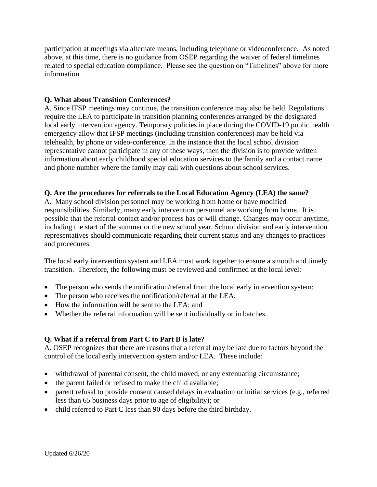participation at meetings via alternate means, including telephone or videoconference. As noted above, at this time, there is no guidance from OSEP regarding the waiver of federal timelines related to special education compliance. Please see the question on "Timelines" above for more information.

# **Q. What about Transition Conferences?**

A. Since IFSP meetings may continue, the transition conference may also be held. Regulations require the LEA to participate in transition planning conferences arranged by the designated local early intervention agency. Temporary policies in place during the COVID-19 public health emergency allow that IFSP meetings (including transition conferences) may be held via telehealth, by phone or video-conference. In the instance that the local school division representative cannot participate in any of these ways, then the division is to provide written information about early childhood special education services to the family and a contact name and phone number where the family may call with questions about school services.

# **Q. Are the procedures for referrals to the Local Education Agency (LEA) the same?**

A. Many school division personnel may be working from home or have modified responsibilities. Similarly, many early intervention personnel are working from home. It is possible that the referral contact and/or process has or will change. Changes may occur anytime, including the start of the summer or the new school year. School division and early intervention representatives should communicate regarding their current status and any changes to practices and procedures.

The local early intervention system and LEA must work together to ensure a smooth and timely transition. Therefore, the following must be reviewed and confirmed at the local level:

- The person who sends the notification/referral from the local early intervention system;
- The person who receives the notification/referral at the LEA;
- How the information will be sent to the LEA; and
- Whether the referral information will be sent individually or in batches.

# **Q. What if a referral from Part C to Part B is late?**

A. OSEP recognizes that there are reasons that a referral may be late due to factors beyond the control of the local early intervention system and/or LEA. These include:

- withdrawal of parental consent, the child moved, or any extenuating circumstance;
- the parent failed or refused to make the child available;
- parent refusal to provide consent caused delays in evaluation or initial services (e.g., referred less than 65 business days prior to age of eligibility); or
- child referred to Part C less than 90 days before the third birthday.